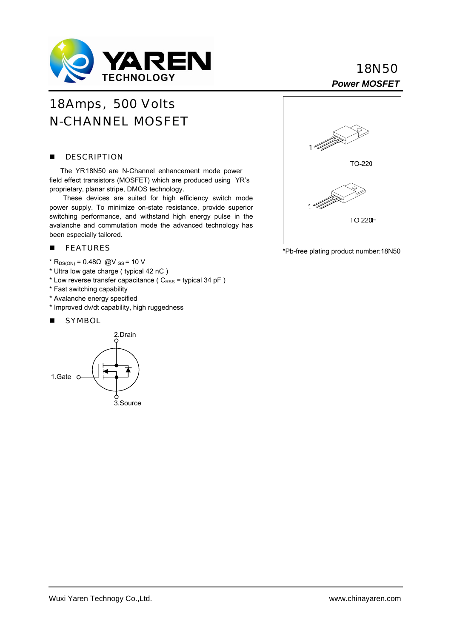

# **18N50**

## 18 Amps, 500 Volts N-CHANNEL MOSFET

#### **DESCRIPTION**

 The YR 18N50 are N-Channel enhancement mode power field effect transistors (MOSFET) which are produced using YR's proprietary, planar stripe, DMOS technology.

These devices are suited for high efficiency switch mode power supply. To minimize on-state resistance, provide superior switching performance, and withstand high energy pulse in the avalanche and commutation mode the advanced technology has been especially tailored.

### **FEATURES**

- $*$  R<sub>DS(ON)</sub> = 0.48Ω @V<sub>GS</sub> = 10 V
- \* Ultra low gate charge ( typical 42 nC )
- \* Low reverse transfer capacitance ( $C_{RSS}$  = typical 34 pF)
- \* Fast switching capability
- \* Avalanche energy specified
- \* Improved dv/dt capability, high ruggedness

#### **SYMBOL**





\*Pb-free plating product number:18N50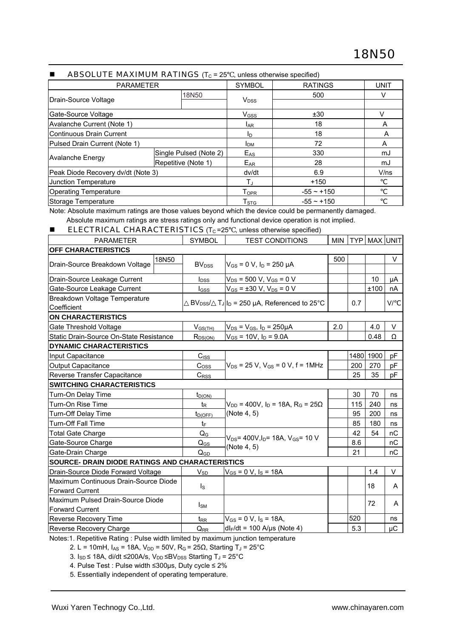|                                    | ADJULU I L IVIAAIIVIUWI INA I IIVUJ \II; T 40 T, UNICSS UNICI WISC SPCCIIICU) |                        |                 |             |
|------------------------------------|-------------------------------------------------------------------------------|------------------------|-----------------|-------------|
| <b>PARAMETER</b>                   |                                                                               | <b>SYMBOL</b>          | <b>RATINGS</b>  | <b>UNIT</b> |
| Drain-Source Voltage               | 18N50                                                                         | <b>V<sub>DSS</sub></b> | 500             | v           |
| Gate-Source Voltage                |                                                                               | V <sub>GSS</sub>       | ±30             | V           |
| Avalanche Current (Note 1)         |                                                                               | <b>LAR</b>             | 18              | A           |
| Continuous Drain Current           |                                                                               | ID                     | 18              | A           |
| Pulsed Drain Current (Note 1)      |                                                                               | <b>I</b> <sub>DM</sub> | 72              | A           |
|                                    | Single Pulsed (Note 2)                                                        | E <sub>AS</sub>        | 330             | mJ          |
| <b>Avalanche Energy</b>            | Repetitive (Note 1)                                                           | E <sub>AR</sub>        | 28              | mJ          |
| Peak Diode Recovery dv/dt (Note 3) |                                                                               | dv/dt                  | 6.9             | V/ns        |
| Junction Temperature               |                                                                               | TJ                     | $+150$          |             |
| <b>Operating Temperature</b>       |                                                                               | <b>TOPR</b>            | $-55 - +150$    |             |
| Storage Temperature                |                                                                               | T <sub>STG</sub>       | $-55 \sim +150$ |             |

#### ABSOLUTE MAXIMUM RATINGS  $(T<sub>C</sub> = 25$  unless otherwise specified)

Note: Absolute maximum ratings are those values beyond which the device could be permanently damaged. Absolute maximum ratings are stress ratings only and functional device operation is not implied.

#### **ELECTRICAL CHARACTERISTICS** ( $T_c$ =25 , unless otherwise specified)

| <b>SYMBOL</b>           | <b>TEST CONDITIONS</b>                                                                                         |                                                                                                                                                                                                                                                                                                     |     |            |                                                                                     |
|-------------------------|----------------------------------------------------------------------------------------------------------------|-----------------------------------------------------------------------------------------------------------------------------------------------------------------------------------------------------------------------------------------------------------------------------------------------------|-----|------------|-------------------------------------------------------------------------------------|
|                         |                                                                                                                |                                                                                                                                                                                                                                                                                                     |     |            |                                                                                     |
| <b>BV<sub>DSS</sub></b> |                                                                                                                | 500                                                                                                                                                                                                                                                                                                 |     |            | V                                                                                   |
|                         |                                                                                                                |                                                                                                                                                                                                                                                                                                     |     |            | $\mu A$                                                                             |
|                         |                                                                                                                |                                                                                                                                                                                                                                                                                                     |     |            | nA                                                                                  |
|                         |                                                                                                                |                                                                                                                                                                                                                                                                                                     | 0.7 |            | V/                                                                                  |
|                         |                                                                                                                |                                                                                                                                                                                                                                                                                                     |     |            |                                                                                     |
| $V_{GS(TH)}$            | $V_{DS} = V_{GS}$ , $I_D = 250 \mu A$                                                                          | 2.0                                                                                                                                                                                                                                                                                                 |     | 4.0        | $\vee$                                                                              |
|                         | $V_{GS}$ = 10V, $I_D$ = 9.0A                                                                                   |                                                                                                                                                                                                                                                                                                     |     | 0.48       | $\Omega$                                                                            |
|                         |                                                                                                                |                                                                                                                                                                                                                                                                                                     |     |            |                                                                                     |
| $C_{ISS}$               |                                                                                                                |                                                                                                                                                                                                                                                                                                     |     |            |                                                                                     |
| C <sub>oss</sub>        | $V_{DS}$ = 25 V, $V_{GS}$ = 0 V, f = 1MHz                                                                      |                                                                                                                                                                                                                                                                                                     |     | 270        | pF                                                                                  |
| C <sub>RSS</sub>        |                                                                                                                |                                                                                                                                                                                                                                                                                                     | 25  | 35         | pF                                                                                  |
|                         |                                                                                                                |                                                                                                                                                                                                                                                                                                     |     |            |                                                                                     |
| $t_{D(ON)}$             |                                                                                                                |                                                                                                                                                                                                                                                                                                     | 30  |            | ns                                                                                  |
| t <sub>R</sub>          | $V_{DD}$ = 400V, $I_D$ = 18A, R <sub>G</sub> = 25 $\Omega$                                                     |                                                                                                                                                                                                                                                                                                     | 115 | 240        | ns                                                                                  |
| $t_{D(OFF)}$            | (Note 4, 5)                                                                                                    |                                                                                                                                                                                                                                                                                                     | 95  | 200        | ns                                                                                  |
|                         |                                                                                                                |                                                                                                                                                                                                                                                                                                     | 85  | 180        | ns                                                                                  |
|                         |                                                                                                                |                                                                                                                                                                                                                                                                                                     | 42  | 54         | nC                                                                                  |
| $Q_{GS}$                | (Note 4, 5)                                                                                                    |                                                                                                                                                                                                                                                                                                     | 8.6 |            | nC                                                                                  |
| Q <sub>GD</sub>         |                                                                                                                |                                                                                                                                                                                                                                                                                                     | 21  |            | nC                                                                                  |
|                         |                                                                                                                |                                                                                                                                                                                                                                                                                                     |     |            |                                                                                     |
| $V_{SD}$                | $V_{GS} = 0 V$ , $I_S = 18A$                                                                                   |                                                                                                                                                                                                                                                                                                     |     | 1.4        | $\vee$                                                                              |
|                         |                                                                                                                |                                                                                                                                                                                                                                                                                                     |     |            |                                                                                     |
|                         |                                                                                                                |                                                                                                                                                                                                                                                                                                     |     |            | A                                                                                   |
|                         |                                                                                                                |                                                                                                                                                                                                                                                                                                     |     |            | A                                                                                   |
|                         |                                                                                                                |                                                                                                                                                                                                                                                                                                     |     |            |                                                                                     |
| $t_{RR}$                | $V_{GS} = 0 V$ , $I_S = 18A$ ,                                                                                 |                                                                                                                                                                                                                                                                                                     |     |            | ns                                                                                  |
| $Q_{RR}$                | $dl_F/dt = 100$ A/µs (Note 4)                                                                                  |                                                                                                                                                                                                                                                                                                     | 5.3 |            | $\mu$ C                                                                             |
|                         | $I_{DSS}$<br>$I_{GSS}$<br>$R_{DS(ON)}$<br>$\mathsf{Q}_{\mathsf{G}}$<br>$\mathsf{I}_\mathsf{S}$<br>$I_{\rm SM}$ | $V_{GS}$ = 0 V, I <sub>D</sub> = 250 µA<br>$V_{DS}$ = 500 V, V <sub>GS</sub> = 0 V<br>$V_{GS}$ = ±30 V, $V_{DS}$ = 0 V<br>BV <sub>DSS</sub> / $T_J I_D = 250 \mu A$ , Referenced to 25°C<br>$V_{DS}$ = 400V, $I_D$ = 18A, $V_{GS}$ = 10 V<br><b>SOURCE- DRAIN DIODE RATINGS AND CHARACTERISTICS</b> |     | 200<br>520 | MIN   TYP   MAX   UNIT<br>10 <sup>°</sup><br>±100<br>1480 1900 pF<br>70<br>18<br>72 |

Notes:1. Repetitive Rating : Pulse width limited by maximum junction temperature

2. L = 10mH,  $I_{AS}$  = 18A,  $V_{DD}$  = 50V,  $R_G$  = 25 $\Omega$ , Starting T<sub>J</sub> = 25°C

3.  $I_{SD}$  ≤ 18A, di/dt ≤200A/s, V<sub>DD</sub> ≤BV<sub>DSS</sub> Starting T<sub>J</sub> = 25°C

4. Pulse Test : Pulse width ≤300µs, Duty cycle ≤ 2%

5. Essentially independent of operating temperature.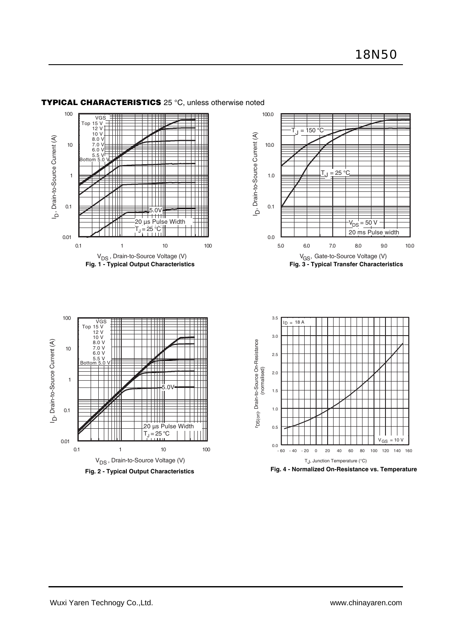

Ξ

#### **TYPICAL CHARACTERISTICS** 25 °C, unless otherwise noted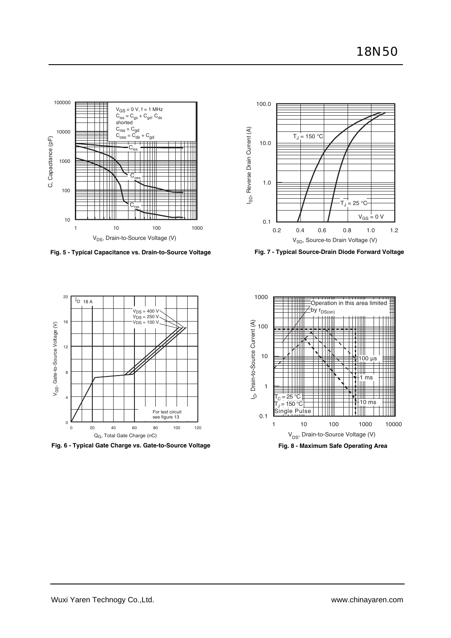

**Fig. 5 - Typical Capacitance vs. Drain-to-Source Voltage Fig. 7 - Typical Source-Drain Diode Forward Voltage**





**Fig. 6 - Typical Gate Charge vs. Gate-to-Source Voltage Fig. 8 - Maximum Safe Operating Area**

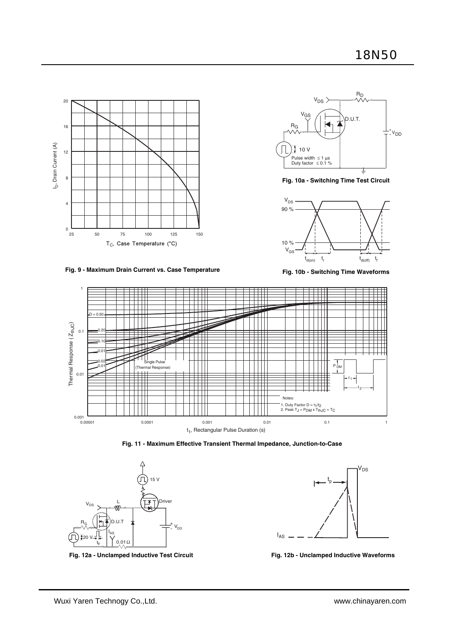



**Fig. 10a - Switching Time Test Circuit**



**Fig. 9 - Maximum Drain Current vs. Case Temperature**

**Fig. 10b - Switching Time Waveforms**









Fig. 12a - Unclamped Inductive Test Circuit **Fig. 12b - Unclamped Inductive Waveforms**